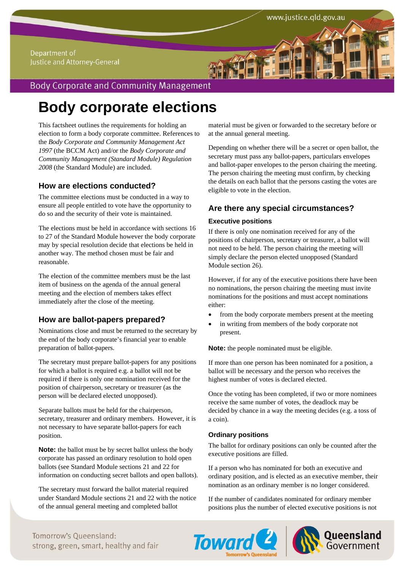#### Department of Justice and Attorney-General

# **Body Corporate and Community Management**

# **Body corporate elections**

This factsheet outlines the requirements for holding an election to form a body corporate committee. References to the *Body Corporate and Community Management Act 1997* (the BCCM Act) and/or the *Body Corporate and Community Management (Standard Module) Regulation 2008* (the Standard Module) are included.

## **How are elections conducted?**

The committee elections must be conducted in a way to ensure all people entitled to vote have the opportunity to do so and the security of their vote is maintained.

The elections must be held in accordance with sections 16 to 27 of the Standard Module however the body corporate may by special resolution decide that elections be held in another way. The method chosen must be fair and reasonable.

The election of the committee members must be the last item of business on the agenda of the annual general meeting and the election of members takes effect immediately after the close of the meeting.

## **How are ballot-papers prepared?**

Nominations close and must be returned to the secretary by the end of the body corporate's financial year to enable preparation of ballot-papers.

The secretary must prepare ballot-papers for any positions for which a ballot is required e.g. a ballot will not be required if there is only one nomination received for the position of chairperson, secretary or treasurer (as the person will be declared elected unopposed).

Separate ballots must be held for the chairperson, secretary, treasurer and ordinary members. However, it is not necessary to have separate ballot-papers for each position.

**Note:** the ballot must be by secret ballot unless the body corporate has passed an ordinary resolution to hold open ballots (see Standard Module sections 21 and 22 for information on conducting secret ballots and open ballots).

The secretary must forward the ballot material required under Standard Module sections 21 and 22 with the notice of the annual general meeting and completed ballot

material must be given or forwarded to the secretary before or at the annual general meeting.

Depending on whether there will be a secret or open ballot, the secretary must pass any ballot-papers, particulars envelopes and ballot-paper envelopes to the person chairing the meeting. The person chairing the meeting must confirm, by checking the details on each ballot that the persons casting the votes are eligible to vote in the election.

## **Are there any special circumstances?**

#### **Executive positions**

If there is only one nomination received for any of the positions of chairperson, secretary or treasurer, a ballot will not need to be held. The person chairing the meeting will simply declare the person elected unopposed (Standard Module section 26).

However, if for any of the executive positions there have been no nominations, the person chairing the meeting must invite nominations for the positions and must accept nominations either:

- from the body corporate members present at the meeting
- in writing from members of the body corporate not present.

**Note:** the people nominated must be eligible.

If more than one person has been nominated for a position, a ballot will be necessary and the person who receives the highest number of votes is declared elected.

Once the voting has been completed, if two or more nominees receive the same number of votes, the deadlock may be decided by chance in a way the meeting decides (e.g. a toss of a coin).

#### **Ordinary positions**

The ballot for ordinary positions can only be counted after the executive positions are filled.

If a person who has nominated for both an executive and ordinary position, and is elected as an executive member, their nomination as an ordinary member is no longer considered.

If the number of candidates nominated for ordinary member positions plus the number of elected executive positions is not





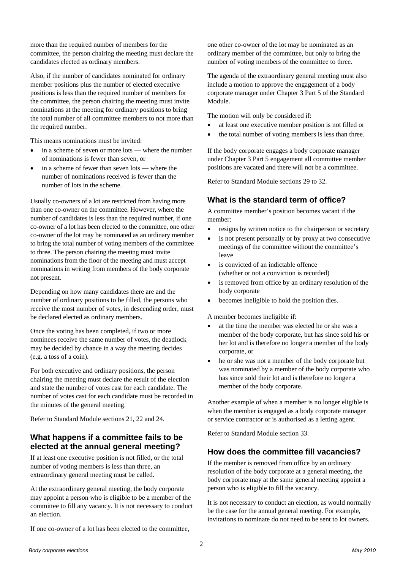more than the required number of members for the committee, the person chairing the meeting must declare the candidates elected as ordinary members.

Also, if the number of candidates nominated for ordinary member positions plus the number of elected executive positions is less than the required number of members for the committee, the person chairing the meeting must invite nominations at the meeting for ordinary positions to bring the total number of all committee members to not more than the required number.

This means nominations must be invited:

- in a scheme of seven or more lots where the number of nominations is fewer than seven, or
- in a scheme of fewer than seven lots where the number of nominations received is fewer than the number of lots in the scheme.

Usually co-owners of a lot are restricted from having more than one co-owner on the committee. However, where the number of candidates is less than the required number, if one co-owner of a lot has been elected to the committee, one other co-owner of the lot may be nominated as an ordinary member to bring the total number of voting members of the committee to three. The person chairing the meeting must invite nominations from the floor of the meeting and must accept nominations in writing from members of the body corporate not present.

Depending on how many candidates there are and the number of ordinary positions to be filled, the persons who receive the most number of votes, in descending order, must be declared elected as ordinary members.

Once the voting has been completed, if two or more nominees receive the same number of votes, the deadlock may be decided by chance in a way the meeting decides (e.g. a toss of a coin).

For both executive and ordinary positions, the person chairing the meeting must declare the result of the election and state the number of votes cast for each candidate. The number of votes cast for each candidate must be recorded in the minutes of the general meeting.

Refer to Standard Module sections 21, 22 and 24.

## **What happens if a committee fails to be elected at the annual general meeting?**

If at least one executive position is not filled, or the total number of voting members is less than three, an extraordinary general meeting must be called.

At the extraordinary general meeting, the body corporate may appoint a person who is eligible to be a member of the committee to fill any vacancy. It is not necessary to conduct an election.

If one co-owner of a lot has been elected to the committee,

one other co-owner of the lot may be nominated as an ordinary member of the committee, but only to bring the number of voting members of the committee to three.

The agenda of the extraordinary general meeting must also include a motion to approve the engagement of a body corporate manager under Chapter 3 Part 5 of the Standard Module.

The motion will only be considered if:

- at least one executive member position is not filled or
- the total number of voting members is less than three.

If the body corporate engages a body corporate manager under Chapter 3 Part 5 engagement all committee member positions are vacated and there will not be a committee.

Refer to Standard Module sections 29 to 32.

### **What is the standard term of office?**

A committee member's position becomes vacant if the member:

- resigns by written notice to the chairperson or secretary
- is not present personally or by proxy at two consecutive meetings of the committee without the committee's leave
- is convicted of an indictable offence (whether or not a conviction is recorded)
- is removed from office by an ordinary resolution of the body corporate
- becomes ineligible to hold the position dies.

A member becomes ineligible if:

- at the time the member was elected he or she was a member of the body corporate, but has since sold his or her lot and is therefore no longer a member of the body corporate, or
- he or she was not a member of the body corporate but was nominated by a member of the body corporate who has since sold their lot and is therefore no longer a member of the body corporate.

Another example of when a member is no longer eligible is when the member is engaged as a body corporate manager or service contractor or is authorised as a letting agent.

Refer to Standard Module section 33.

#### **How does the committee fill vacancies?**

If the member is removed from office by an ordinary resolution of the body corporate at a general meeting, the body corporate may at the same general meeting appoint a person who is eligible to fill the vacancy.

It is not necessary to conduct an election, as would normally be the case for the annual general meeting. For example, invitations to nominate do not need to be sent to lot owners.